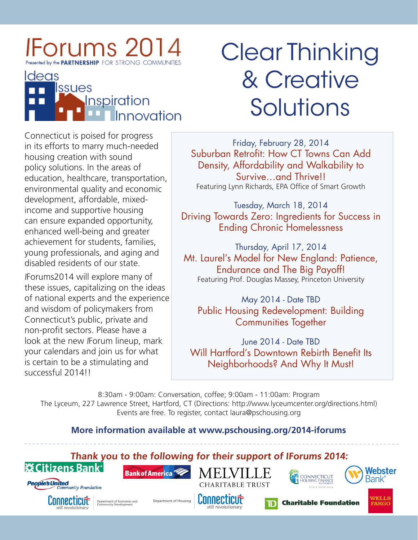### lForums 20<sup>-</sup> Presented by the **PARTNERSHIP** FOR STRONG COMMUNITIES



# Clear Thinking & Creative Solutions

Connecticut is poised for progress in its efforts to marry much-needed housing creation with sound policy solutions. In the areas of education, healthcare, transportation, environmental quality and economic development, affordable, mixedincome and supportive housing can ensure expanded opportunity, enhanced well-being and greater achievement for students, families, young professionals, and aging and disabled residents of our state.

<sup>I</sup>Forums2014 will explore many of these issues, capitalizing on the ideas of national experts and the experience and wisdom of policymakers from Connecticut's public, private and non-profit sectors. Please have a look at the new IForum lineup, mark your calendars and join us for what is certain to be a stimulating and successful 2014!!

Friday, February 28, 2014 Suburban Retrofit: How CT Towns Can Add Density, Affordability and Walkability to Survive…and Thrive!! Featuring Lynn Richards, EPA Office of Smart Growth

Tuesday, March 18, 2014 Driving Towards Zero: Ingredients for Success in Ending Chronic Homelessness

Thursday, April 17, 2014 Mt. Laurel's Model for New England: Patience, Endurance and The Big Payoff! Featuring Prof. Douglas Massey, Princeton University

May 2014 - Date TBD Public Housing Redevelopment: Building Communities Together

June 2014 - Date TBD Will Hartford's Downtown Rebirth Benefit Its Neighborhoods? And Why It Must!

8:30am - 9:00am: Conversation, coffee; 9:00am - 11:00am: Program The Lyceum, 227 Lawrence Street, Hartford, CT (Directions: [http://www.lyceumcenter.org/directions.html\)](http://www.lyceumcenter.org/directions.html) Events are free. To register, contact [laura@pschousing.org](mailto:laura%40pschousing.org?subject=IForums%202014%20RSVP)

#### **More information available at [www.pschousing.org/2014-iforums](http://www.pschousing.org/2014-iforums
)**

**Thank you to the following for their support of IForums 2014:**





**Bank of America** 





**Charitable Foundation**